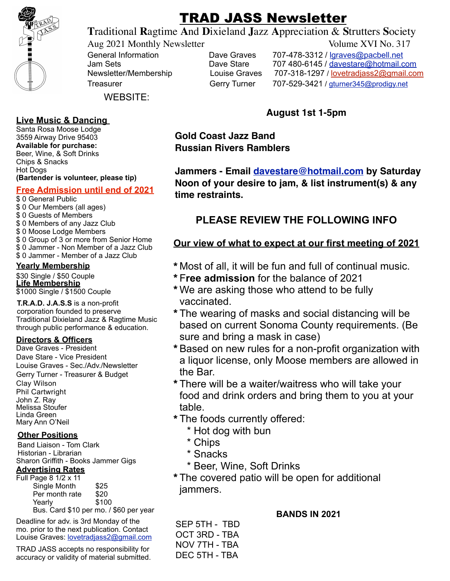

# TRAD JASS Newsletter

**T**raditional **R**agtime **A**nd **D**ixieland **J**azz **A**ppreciation & **S**trutters **S**ociety

Aug 2021 Monthly Newsletter Volume XVI No. 317

General Information **Dave Graves** 707-478-3312 / lgraves@pacbell.net<br>Jam Sets **Dave Stare** 707 480-6145 / davestare@hotmail.c Jam Sets **Dave Stare** 707 480-6145 / davestare@hotmail.com Newsletter/Membership Louise Graves 707-318-1297 / lovetradiass2@gmail.com Treasurer Gerry Turner 707-529-3421 / gturner345@prodigy.net

WEBSITE:

## **Live Music & Dancing**

Santa Rosa Moose Lodge 3559 Airway Drive 95403 **Available for purchase:**  Beer, Wine, & Soft Drinks Chips & Snacks Hot Dogs **(Bartender is volunteer, please tip)**

## **Free Admission until end of 2021**

- \$ 0 General Public \$ 0 Our Members (all ages) \$ 0 Guests of Members \$ 0 Members of any Jazz Club \$ 0 Moose Lodge Members \$ 0 Group of 3 or more from Senior Home \$ 0 Jammer - Non Member of a Jazz Club
- \$ 0 Jammer Member of a Jazz Club

#### **Yearly Membership**

\$30 Single / \$50 Couple **Life Membership** \$1000 Single / \$1500 Couple

**T.R.A.D. J.A.S.S** is a non-profit corporation founded to preserve Traditional Dixieland Jazz & Ragtime Music through public performance & education.

#### **Directors & Officers**

Dave Graves - President Dave Stare - Vice President Louise Graves - Sec./Adv./Newsletter Gerry Turner - Treasurer & Budget Clay Wilson Phil Cartwright John Z. Ray Melissa Stoufer Linda Green Mary Ann O'Neil

#### **Other Positions**

Band Liaison - Tom Clark Historian - Librarian Sharon Griffith - Books Jammer Gigs

## **Advertising Rates**

| Full Page 8 1/2 x 11 |                                                                     |
|----------------------|---------------------------------------------------------------------|
| Single Month         | \$25                                                                |
| Per month rate       | \$20                                                                |
| Yearly               | \$100                                                               |
|                      | $D_{\text{max}}$ Card $A \Omega$ nor me $\theta$ CCO nor $\theta$ . |

Bus. Card \$10 per mo. / \$60 per year

Deadline for adv. is 3rd Monday of the mo. prior to the next publication. Contact Louise Graves: lovetradjass2@gmail.com

TRAD JASS accepts no responsibility for accuracy or validity of material submitted.

## **August 1st 1-5pm**

**Gold Coast Jazz Band Russian Rivers Ramblers**

**Jammers - Email davestare@hotmail.com by Saturday Noon of your desire to jam, & list instrument(s) & any time restraints.**

## **PLEASE REVIEW THE FOLLOWING INFO**

## **Our view of what to expect at our first meeting of 2021**

- \*Most of all, it will be fun and full of continual music.
- \*F**ree admission** for the balance of 2021
- \*We are asking those who attend to be fully vaccinated.
- \*The wearing of masks and social distancing will be based on current Sonoma County requirements. (Be sure and bring a mask in case)
- \*Based on new rules for a non-profit organization with a liquor license, only Moose members are allowed in the Bar.
- \*There will be a waiter/waitress who will take your food and drink orders and bring them to you at your table.
- \*The foods currently offered:
	- \* Hot dog with bun
	- \* Chips
	- \* Snacks
	- \* Beer, Wine, Soft Drinks
- \*The covered patio will be open for additional jammers.

#### **BANDS IN 2021**

SEP 5TH - TBD OCT 3RD - TBA NOV 7TH - TBA DEC 5TH - TBA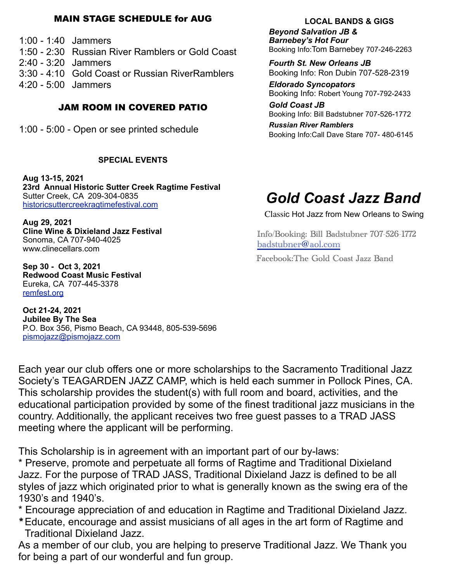#### MAIN STAGE SCHEDULE for AUG

1:00 - 1:40 Jammers

1:50 - 2:30 Russian River Ramblers or Gold Coast

2:40 - 3:20 Jammers

3:30 - 4:10 Gold Coast or Russian RiverRamblers

4:20 - 5:00 Jammers

## JAM ROOM IN COVERED PATIO

1:00 - 5:00 - Open or see printed schedule

#### **SPECIAL EVENTS**

**Aug 13-15, 2021 23rd Annual Historic Sutter Creek Ragtime Festival**  Sutter Creek, CA 209-304-0835 historicsuttercreekragtimefestival.com

**Aug 29, 2021 Cline Wine & Dixieland Jazz Festival** Sonoma, CA 707-940-4025 www.clinecellars.com

**Sep 30 - Oct 3, 2021 Redwood Coast Music Festival** Eureka, CA 707-445-3378 remfest.org

**Oct 21-24, 2021 Jubilee By The Sea** P.O. Box 356, Pismo Beach, CA 93448, 805-539-5696 pismojazz@pismojazz.com

#### **LOCAL BANDS & GIGS**

*Beyond Salvation JB & Barnebey's Hot Four* Booking Info:Tom Barnebey 707-246-2263

*Fourth St. New Orleans JB* Booking Info: Ron Dubin 707-528-2319

*Eldorado Syncopators* Booking Info: Robert Young 707-792-2433

*Gold Coast JB* Booking Info: Bill Badstubner 707-526-1772

*Russian River Ramblers* Booking Info:Call Dave Stare 707- 480-6145

# *Gold Coast Jazz Band*

Classic Hot Jazz from New Orleans to Swing

 Info/Booking: Bill Badstubner 707-526-1772 badstubner@aol.com

Facebook:The Gold Coast Jazz Band

Each year our club offers one or more scholarships to the Sacramento Traditional Jazz Society's TEAGARDEN JAZZ CAMP, which is held each summer in Pollock Pines, CA. This scholarship provides the student(s) with full room and board, activities, and the educational participation provided by some of the finest traditional jazz musicians in the country. Additionally, the applicant receives two free guest passes to a TRAD JASS meeting where the applicant will be performing.

This Scholarship is in agreement with an important part of our by-laws:

\* Preserve, promote and perpetuate all forms of Ragtime and Traditional Dixieland Jazz. For the purpose of TRAD JASS, Traditional Dixieland Jazz is defined to be all styles of jazz which originated prior to what is generally known as the swing era of the 1930's and 1940's.

\* Encourage appreciation of and education in Ragtime and Traditional Dixieland Jazz.

\*Educate, encourage and assist musicians of all ages in the art form of Ragtime and Traditional Dixieland Jazz.

As a member of our club, you are helping to preserve Traditional Jazz. We Thank you for being a part of our wonderful and fun group.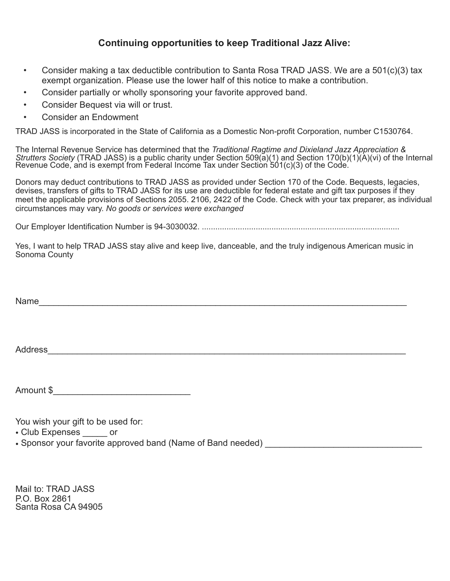### **Continuing opportunities to keep Traditional Jazz Alive:**

- Consider making a tax deductible contribution to Santa Rosa TRAD JASS. We are a 501(c)(3) tax exempt organization. Please use the lower half of this notice to make a contribution.
- Consider partially or wholly sponsoring your favorite approved band.
- Consider Bequest via will or trust.
- Consider an Endowment

TRAD JASS is incorporated in the State of California as a Domestic Non-profit Corporation, number C1530764.

The Internal Revenue Service has determined that the *Traditional Ragtime and Dixieland Jazz Appreciation & Strutters Society* (TRAD JASS) is a public charity under Section 509(a)(1) and Section 170(b)(1)(A)(vi) of the Internal Revenue Code, and is exempt from Federal Income Tax under Section 501(c)(3) of the Code.

Donors may deduct contributions to TRAD JASS as provided under Section 170 of the Code. Bequests, legacies, devises, transfers of gifts to TRAD JASS for its use are deductible for federal estate and gift tax purposes if they meet the applicable provisions of Sections 2055. 2106, 2422 of the Code. Check with your tax preparer, as individual circumstances may vary. *No goods or services were exchanged* 

Our Employer Identification Number is 94-3030032. ........................................................................................

Yes, I want to help TRAD JASS stay alive and keep live, danceable, and the truly indigenous American music in Sonoma County

Name

Address\_\_\_\_\_\_\_\_\_\_\_\_\_\_\_\_\_\_\_\_\_\_\_\_\_\_\_\_\_\_\_\_\_\_\_\_\_\_\_\_\_\_\_\_\_\_\_\_\_\_\_\_\_\_\_\_\_\_\_\_\_\_\_\_\_\_\_\_\_\_\_\_\_

Amount \$\_\_\_\_\_\_\_\_\_\_\_\_\_\_\_\_\_\_\_\_\_\_\_\_\_\_\_\_

You wish your gift to be used for:

- Club Expenses or
- Sponsor your favorite approved band (Name of Band needed) \_\_\_\_\_\_\_\_\_\_\_\_\_\_\_\_\_\_\_\_

Mail to: TRAD JASS P.O. Box 2861 Santa Rosa CA 94905